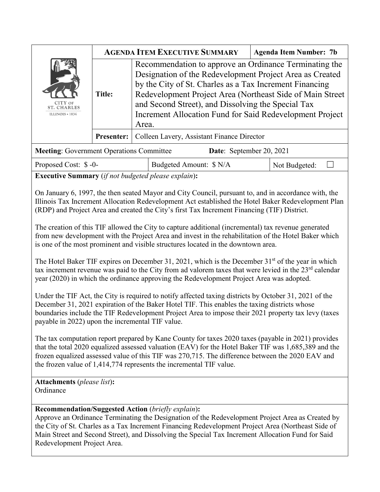|                                                                             | <b>AGENDA ITEM EXECUTIVE SUMMARY</b> |                                                                                                                                                                                                                                                                                                                                                                        | <b>Agenda Item Number: 7b</b> |  |
|-----------------------------------------------------------------------------|--------------------------------------|------------------------------------------------------------------------------------------------------------------------------------------------------------------------------------------------------------------------------------------------------------------------------------------------------------------------------------------------------------------------|-------------------------------|--|
| CITY OF<br><b>ST. CHARLES</b><br>ILLINOIS + 1834                            | <b>Title:</b>                        | Recommendation to approve an Ordinance Terminating the<br>Designation of the Redevelopment Project Area as Created<br>by the City of St. Charles as a Tax Increment Financing<br>Redevelopment Project Area (Northeast Side of Main Street)<br>and Second Street), and Dissolving the Special Tax<br>Increment Allocation Fund for Said Redevelopment Project<br>Area. |                               |  |
|                                                                             | <b>Presenter:</b>                    | Colleen Lavery, Assistant Finance Director                                                                                                                                                                                                                                                                                                                             |                               |  |
| <b>Meeting:</b> Government Operations Committee<br>Date: September 20, 2021 |                                      |                                                                                                                                                                                                                                                                                                                                                                        |                               |  |
|                                                                             |                                      |                                                                                                                                                                                                                                                                                                                                                                        |                               |  |

| Proposed Cost: \$-0- | Budgeted Amount: \$ N/A | Not Budgeted: |  |
|----------------------|-------------------------|---------------|--|
|                      |                         |               |  |

**Executive Summary** (*if not budgeted please explain*)**:** 

On January 6, 1997, the then seated Mayor and City Council, pursuant to, and in accordance with, the Illinois Tax Increment Allocation Redevelopment Act established the Hotel Baker Redevelopment Plan (RDP) and Project Area and created the City's first Tax Increment Financing (TIF) District.

The creation of this TIF allowed the City to capture additional (incremental) tax revenue generated from new development with the Project Area and invest in the rehabilitation of the Hotel Baker which is one of the most prominent and visible structures located in the downtown area.

The Hotel Baker TIF expires on December 31, 2021, which is the December  $31<sup>st</sup>$  of the year in which tax increment revenue was paid to the City from ad valorem taxes that were levied in the  $23<sup>rd</sup>$  calendar year (2020) in which the ordinance approving the Redevelopment Project Area was adopted.

Under the TIF Act, the City is required to notify affected taxing districts by October 31, 2021 of the December 31, 2021 expiration of the Baker Hotel TIF. This enables the taxing districts whose boundaries include the TIF Redevelopment Project Area to impose their 2021 property tax levy (taxes payable in 2022) upon the incremental TIF value.

The tax computation report prepared by Kane County for taxes 2020 taxes (payable in 2021) provides that the total 2020 equalized assessed valuation (EAV) for the Hotel Baker TIF was 1,685,389 and the frozen equalized assessed value of this TIF was 270,715. The difference between the 2020 EAV and the frozen value of 1,414,774 represents the incremental TIF value.

**Attachments** (*please list*)**: Ordinance** 

## **Recommendation/Suggested Action** (*briefly explain*)**:**

Approve an Ordinance Terminating the Designation of the Redevelopment Project Area as Created by the City of St. Charles as a Tax Increment Financing Redevelopment Project Area (Northeast Side of Main Street and Second Street), and Dissolving the Special Tax Increment Allocation Fund for Said Redevelopment Project Area.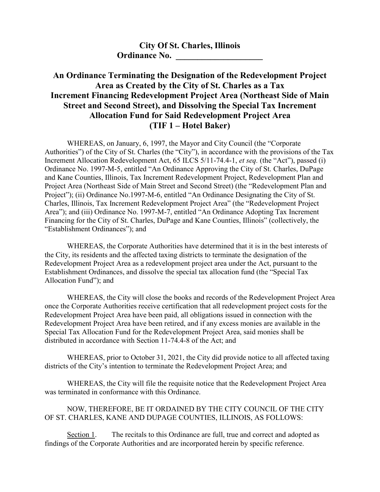## **City Of St. Charles, Illinois Ordinance No.**

## **An Ordinance Terminating the Designation of the Redevelopment Project Area as Created by the City of St. Charles as a Tax Increment Financing Redevelopment Project Area (Northeast Side of Main Street and Second Street), and Dissolving the Special Tax Increment Allocation Fund for Said Redevelopment Project Area (TIF 1 – Hotel Baker)**

WHEREAS, on January, 6, 1997, the Mayor and City Council (the "Corporate Authorities") of the City of St. Charles (the "City"), in accordance with the provisions of the Tax Increment Allocation Redevelopment Act, 65 ILCS 5/11-74.4-1, *et seq.* (the "Act"), passed (i) Ordinance No. 1997-M-5, entitled "An Ordinance Approving the City of St. Charles, DuPage and Kane Counties, Illinois, Tax Increment Redevelopment Project, Redevelopment Plan and Project Area (Northeast Side of Main Street and Second Street) (the "Redevelopment Plan and Project"); (ii) Ordinance No.1997-M-6, entitled "An Ordinance Designating the City of St. Charles, Illinois, Tax Increment Redevelopment Project Area" (the "Redevelopment Project Area"); and (iii) Ordinance No. 1997-M-7, entitled "An Ordinance Adopting Tax Increment Financing for the City of St. Charles, DuPage and Kane Counties, Illinois" (collectively, the "Establishment Ordinances"); and

WHEREAS, the Corporate Authorities have determined that it is in the best interests of the City, its residents and the affected taxing districts to terminate the designation of the Redevelopment Project Area as a redevelopment project area under the Act, pursuant to the Establishment Ordinances, and dissolve the special tax allocation fund (the "Special Tax Allocation Fund"); and

WHEREAS, the City will close the books and records of the Redevelopment Project Area once the Corporate Authorities receive certification that all redevelopment project costs for the Redevelopment Project Area have been paid, all obligations issued in connection with the Redevelopment Project Area have been retired, and if any excess monies are available in the Special Tax Allocation Fund for the Redevelopment Project Area, said monies shall be distributed in accordance with Section 11-74.4-8 of the Act; and

WHEREAS, prior to October 31, 2021, the City did provide notice to all affected taxing districts of the City's intention to terminate the Redevelopment Project Area; and

WHEREAS, the City will file the requisite notice that the Redevelopment Project Area was terminated in conformance with this Ordinance.

## NOW, THEREFORE, BE IT ORDAINED BY THE CITY COUNCIL OF THE CITY OF ST. CHARLES, KANE AND DUPAGE COUNTIES, ILLINOIS, AS FOLLOWS:

Section 1. The recitals to this Ordinance are full, true and correct and adopted as findings of the Corporate Authorities and are incorporated herein by specific reference.